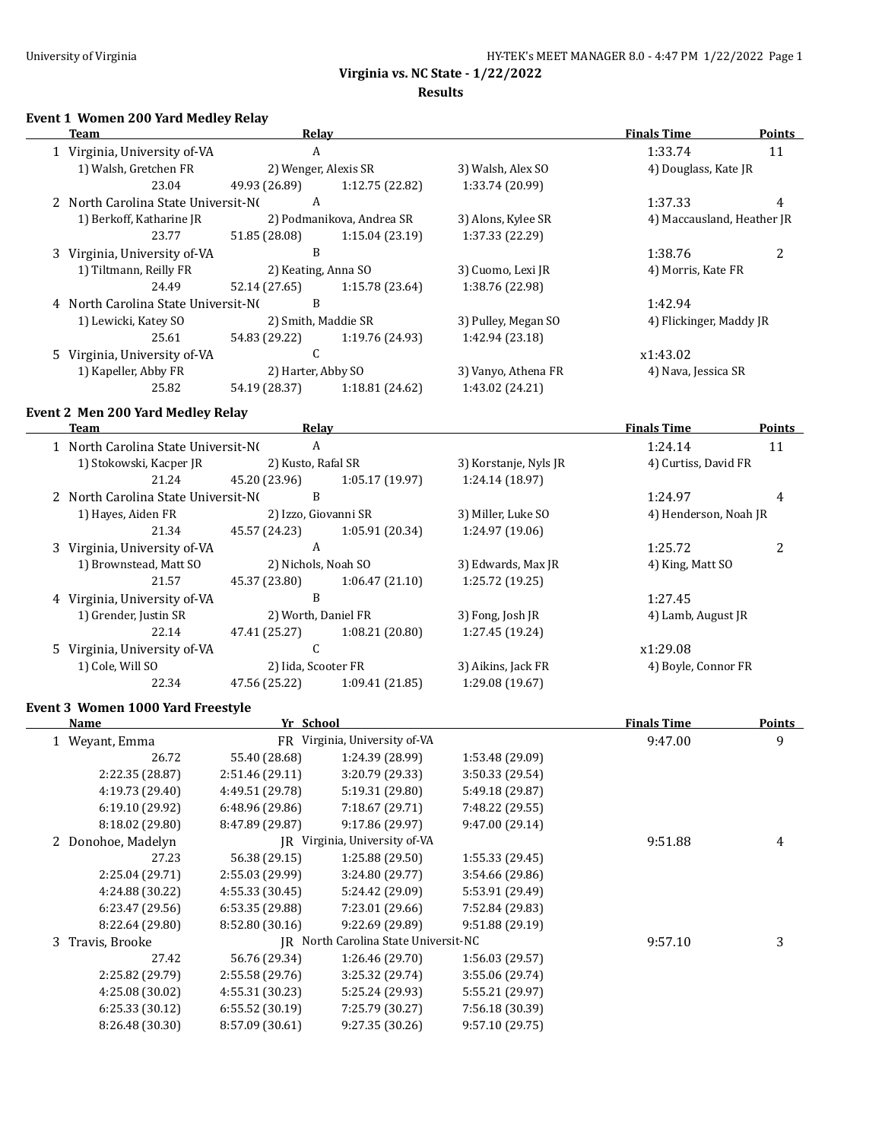$\equiv$ 

**Virginia vs. NC State - 1/22/2022**

#### **Results**

## **Event 1 Women 200 Yard Medley Relay**

| Team                                | Relay                |                           |                     | <b>Finals Time</b>         | <b>Points</b> |
|-------------------------------------|----------------------|---------------------------|---------------------|----------------------------|---------------|
| 1 Virginia, University of-VA        | A                    |                           |                     | 1:33.74                    | 11            |
| 1) Walsh, Gretchen FR               | 2) Wenger, Alexis SR |                           | 3) Walsh, Alex SO   | 4) Douglass, Kate JR       |               |
| 23.04                               | 49.93 (26.89)        | 1:12.75 (22.82)           | 1:33.74 (20.99)     |                            |               |
| 2 North Carolina State Universit-NO | A                    |                           |                     | 1:37.33                    | 4             |
| 1) Berkoff, Katharine JR            |                      | 2) Podmanikova, Andrea SR | 3) Alons, Kylee SR  | 4) Maccausland, Heather JR |               |
| 23.77                               | 51.85 (28.08)        | 1:15.04(23.19)            | 1:37.33 (22.29)     |                            |               |
| 3 Virginia, University of-VA        | B                    |                           |                     | 1:38.76                    | 2             |
| 1) Tiltmann, Reilly FR              | 2) Keating, Anna SO  |                           | 3) Cuomo, Lexi JR   | 4) Morris, Kate FR         |               |
| 24.49                               | 52.14 (27.65)        | 1:15.78(23.64)            | 1:38.76 (22.98)     |                            |               |
| 4 North Carolina State Universit-NO | B                    |                           |                     | 1:42.94                    |               |
| 1) Lewicki, Katey SO                | 2) Smith, Maddie SR  |                           | 3) Pulley, Megan SO | 4) Flickinger, Maddy JR    |               |
| 25.61                               | 54.83 (29.22)        | 1:19.76 (24.93)           | 1:42.94 (23.18)     |                            |               |
| 5 Virginia, University of-VA        | C                    |                           |                     | x1:43.02                   |               |
| 1) Kapeller, Abby FR                | 2) Harter, Abby SO   |                           | 3) Vanyo, Athena FR | 4) Nava, Jessica SR        |               |
| 25.82                               | 54.19 (28.37)        | 1:18.81(24.62)            | 1:43.02 (24.21)     |                            |               |

## **Event 2 Men 200 Yard Medley Relay**

| Team                                | Relay                |                 |                       | <b>Finals Time</b>    | <b>Points</b>  |
|-------------------------------------|----------------------|-----------------|-----------------------|-----------------------|----------------|
| 1 North Carolina State Universit-NO | A                    |                 |                       | 1:24.14               | 11             |
| 1) Stokowski, Kacper JR             | 2) Kusto, Rafal SR   |                 | 3) Korstanje, Nyls JR | 4) Curtiss, David FR  |                |
| 21.24                               | 45.20 (23.96)        | 1:05.17(19.97)  | 1:24.14 (18.97)       |                       |                |
| 2 North Carolina State Universit-NO | B                    |                 |                       | 1:24.97               | 4              |
| 1) Hayes, Aiden FR                  | 2) Izzo, Giovanni SR |                 | 3) Miller, Luke SO    | 4) Henderson, Noah JR |                |
| 21.34                               | 45.57 (24.23)        | 1:05.91 (20.34) | 1:24.97 (19.06)       |                       |                |
| 3 Virginia, University of-VA        | A                    |                 |                       | 1:25.72               | $\overline{c}$ |
| 1) Brownstead, Matt SO              | 2) Nichols, Noah SO  |                 | 3) Edwards, Max JR    | 4) King, Matt SO      |                |
| 21.57                               | 45.37 (23.80)        | 1:06.47(21.10)  | 1:25.72(19.25)        |                       |                |
| Virginia, University of-VA          | B                    |                 |                       | 1:27.45               |                |
| 1) Grender, Justin SR               | 2) Worth, Daniel FR  |                 | 3) Fong, Josh JR      | 4) Lamb, August JR    |                |
| 22.14                               | 47.41 (25.27)        | 1:08.21 (20.80) | 1:27.45 (19.24)       |                       |                |
| Virginia, University of-VA          | C                    |                 |                       | x1:29.08              |                |
| 1) Cole, Will SO                    | 2) Iida, Scooter FR  |                 | 3) Aikins, Jack FR    | 4) Boyle, Connor FR   |                |
| 22.34                               | 47.56 (25.22)        | 1:09.41(21.85)  | 1:29.08 (19.67)       |                       |                |
|                                     |                      |                 |                       |                       |                |

# **Event 3 Women 1000 Yard Freestyle**

|                 |                 |                                                                          | <b>Finals Time</b>                   | <b>Points</b> |
|-----------------|-----------------|--------------------------------------------------------------------------|--------------------------------------|---------------|
| FR              |                 |                                                                          | 9:47.00                              | 9             |
| 55.40 (28.68)   | 1:24.39 (28.99) | 1:53.48 (29.09)                                                          |                                      |               |
| 2:51.46 (29.11) | 3:20.79 (29.33) | 3:50.33 (29.54)                                                          |                                      |               |
| 4:49.51 (29.78) | 5:19.31 (29.80) | 5:49.18 (29.87)                                                          |                                      |               |
| 6:48.96(29.86)  | 7:18.67 (29.71) | 7:48.22 (29.55)                                                          |                                      |               |
| 8:47.89 (29.87) | 9:17.86(29.97)  | 9:47.00 (29.14)                                                          |                                      |               |
|                 |                 |                                                                          | 9:51.88                              | 4             |
| 56.38 (29.15)   | 1:25.88 (29.50) | 1:55.33(29.45)                                                           |                                      |               |
| 2:55.03 (29.99) | 3:24.80 (29.77) | 3:54.66 (29.86)                                                          |                                      |               |
| 4:55.33(30.45)  | 5:24.42 (29.09) | 5:53.91 (29.49)                                                          |                                      |               |
| 6:53.35(29.88)  | 7:23.01 (29.66) | 7:52.84 (29.83)                                                          |                                      |               |
| 8:52.80(30.16)  | 9:22.69 (29.89) | 9:51.88(29.19)                                                           |                                      |               |
|                 |                 |                                                                          | 9:57.10                              | 3             |
| 56.76 (29.34)   | 1:26.46 (29.70) | 1:56.03(29.57)                                                           |                                      |               |
| 2:55.58 (29.76) | 3:25.32 (29.74) | 3:55.06 (29.74)                                                          |                                      |               |
| 4:55.31(30.23)  | 5:25.24 (29.93) | 5:55.21 (29.97)                                                          |                                      |               |
| 6:55.52(30.19)  | 7:25.79 (30.27) | 7:56.18 (30.39)                                                          |                                      |               |
| 8:57.09 (30.61) | 9:27.35(30.26)  | 9:57.10 (29.75)                                                          |                                      |               |
|                 |                 | Yr School<br>Virginia, University of-VA<br>JR Virginia, University of-VA | IR North Carolina State Universit-NC |               |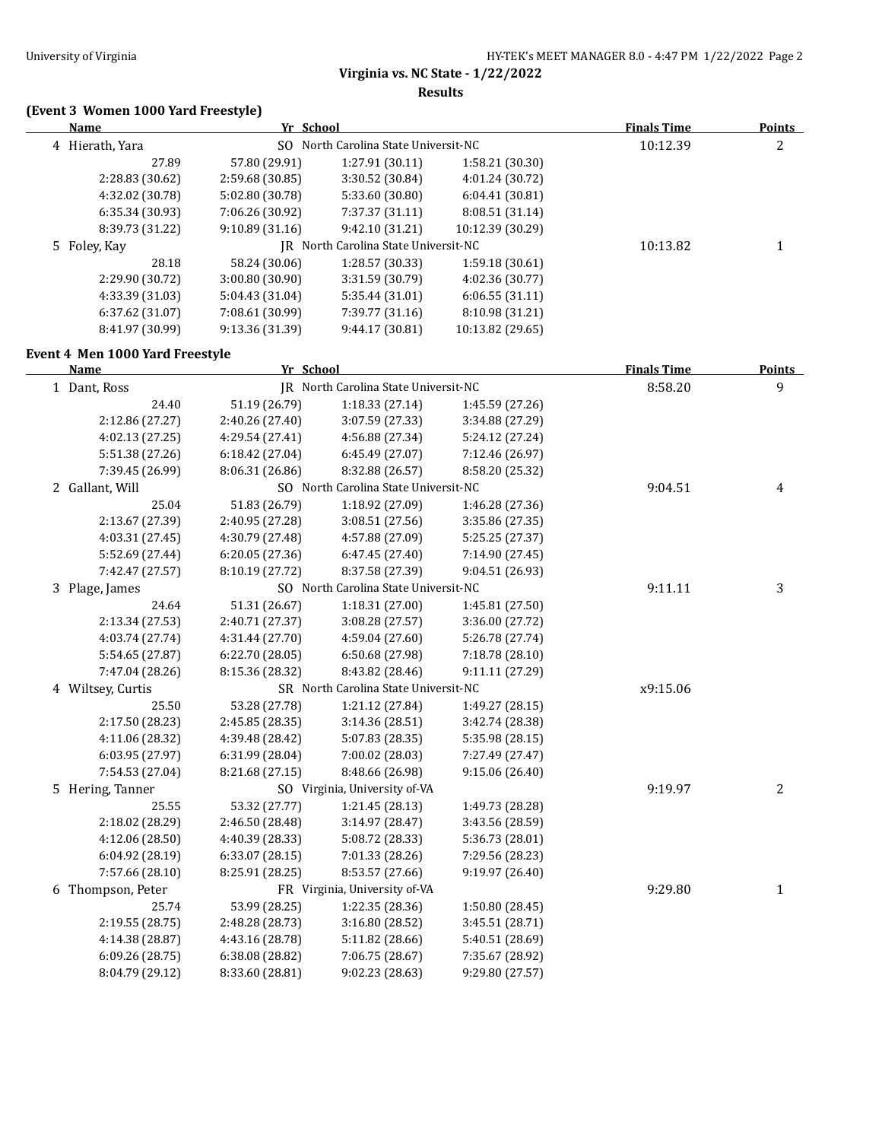**Results**

# **(Event 3 Women 1000 Yard Freestyle)**

| Name                               | Yr School                          |                                                  |                                    | <b>Finals Time</b> | <b>Points</b>  |
|------------------------------------|------------------------------------|--------------------------------------------------|------------------------------------|--------------------|----------------|
| 4 Hierath, Yara                    |                                    | SO North Carolina State Universit-NC             |                                    | 10:12.39           | $\overline{c}$ |
| 27.89                              | 57.80 (29.91)                      | 1:27.91 (30.11)                                  | 1:58.21 (30.30)                    |                    |                |
| 2:28.83 (30.62)                    | 2:59.68 (30.85)                    | 3:30.52 (30.84)                                  | 4:01.24 (30.72)                    |                    |                |
| 4:32.02 (30.78)                    | 5:02.80 (30.78)                    | 5:33.60 (30.80)                                  | 6:04.41 (30.81)                    |                    |                |
| 6:35.34 (30.93)                    | 7:06.26 (30.92)                    | 7:37.37 (31.11)                                  | 8:08.51 (31.14)                    |                    |                |
| 8:39.73 (31.22)                    | 9:10.89 (31.16)                    | 9:42.10 (31.21)                                  | 10:12.39 (30.29)                   |                    |                |
| 5 Foley, Kay                       |                                    | JR North Carolina State Universit-NC             |                                    | 10:13.82           | $\mathbf{1}$   |
| 28.18                              | 58.24 (30.06)                      | 1:28.57 (30.33)                                  | 1:59.18 (30.61)                    |                    |                |
| 2:29.90 (30.72)                    | 3:00.80 (30.90)                    | 3:31.59 (30.79)                                  | 4:02.36 (30.77)                    |                    |                |
| 4:33.39 (31.03)                    | 5:04.43 (31.04)                    | 5:35.44 (31.01)                                  | 6:06.55(31.11)                     |                    |                |
| 6:37.62 (31.07)                    | 7:08.61 (30.99)                    | 7:39.77 (31.16)                                  | 8:10.98 (31.21)                    |                    |                |
| 8:41.97 (30.99)                    | 9:13.36 (31.39)                    | 9:44.17 (30.81)                                  | 10:13.82 (29.65)                   |                    |                |
| Event 4 Men 1000 Yard Freestyle    |                                    |                                                  |                                    |                    |                |
| <b>Name</b>                        | Yr School                          |                                                  |                                    | <b>Finals Time</b> | Points         |
| 1 Dant, Ross                       |                                    | JR North Carolina State Universit-NC             |                                    | 8:58.20            | 9              |
| 24.40                              | 51.19 (26.79)                      | 1:18.33(27.14)                                   | 1:45.59 (27.26)                    |                    |                |
| 2:12.86 (27.27)                    | 2:40.26 (27.40)                    | 3:07.59 (27.33)                                  | 3:34.88 (27.29)                    |                    |                |
| 4:02.13 (27.25)                    | 4:29.54 (27.41)                    | 4:56.88 (27.34)                                  | 5:24.12 (27.24)                    |                    |                |
| 5:51.38 (27.26)                    | 6:18.42 (27.04)                    | 6:45.49 (27.07)                                  | 7:12.46 (26.97)                    |                    |                |
| 7:39.45 (26.99)                    | 8:06.31 (26.86)                    | 8:32.88 (26.57)                                  | 8:58.20 (25.32)                    |                    |                |
| 2 Gallant, Will                    |                                    | SO North Carolina State Universit-NC             |                                    | 9:04.51            | 4              |
| 25.04                              | 51.83 (26.79)                      | 1:18.92 (27.09)                                  | 1:46.28 (27.36)                    |                    |                |
| 2:13.67 (27.39)                    | 2:40.95 (27.28)                    | 3:08.51 (27.56)                                  | 3:35.86 (27.35)                    |                    |                |
| 4:03.31 (27.45)                    | 4:30.79 (27.48)                    | 4:57.88 (27.09)                                  | 5:25.25 (27.37)                    |                    |                |
| 5:52.69 (27.44)                    | 6:20.05 (27.36)                    | 6:47.45 (27.40)                                  | 7:14.90 (27.45)                    |                    |                |
| 7:42.47 (27.57)                    | 8:10.19 (27.72)                    | 8:37.58 (27.39)                                  | 9:04.51 (26.93)                    |                    |                |
| 3 Plage, James                     |                                    | SO North Carolina State Universit-NC             |                                    | 9:11.11            | 3              |
| 24.64                              | 51.31 (26.67)                      | 1:18.31 (27.00)                                  | 1:45.81 (27.50)                    |                    |                |
| 2:13.34 (27.53)                    | 2:40.71 (27.37)                    | 3:08.28 (27.57)                                  | 3:36.00 (27.72)                    |                    |                |
| 4:03.74 (27.74)                    | 4:31.44 (27.70)                    | 4:59.04 (27.60)                                  | 5:26.78 (27.74)                    |                    |                |
| 5:54.65 (27.87)                    | 6:22.70 (28.05)                    | 6:50.68 (27.98)                                  | 7:18.78 (28.10)                    |                    |                |
| 7:47.04 (28.26)                    | 8:15.36 (28.32)                    | 8:43.82 (28.46)                                  | 9:11.11 (27.29)                    |                    |                |
| 4 Wiltsey, Curtis                  |                                    | SR North Carolina State Universit-NC             |                                    | x9:15.06           |                |
| 25.50                              | 53.28 (27.78)                      | 1:21.12 (27.84)                                  | 1:49.27 (28.15)                    |                    |                |
| 2:17.50 (28.23)                    | 2:45.85 (28.35)                    | 3:14.36 (28.51)                                  | 3:42.74 (28.38)                    |                    |                |
| 4:11.06 (28.32)                    | 4:39.48 (28.42)                    | 5:07.83 (28.35)                                  | 5:35.98 (28.15)                    |                    |                |
| 6:03.95 (27.97)                    | 6:31.99 (28.04)                    | 7:00.02 (28.03)                                  | 7:27.49 (27.47)                    |                    |                |
| 7:54.53 (27.04)                    | 8:21.68 (27.15)                    | 8:48.66 (26.98)<br>SO Virginia, University of-VA | 9:15.06 (26.40)                    |                    |                |
| 5 Hering, Tanner                   |                                    |                                                  |                                    | 9:19.97            | 2              |
| 25.55                              | 53.32 (27.77)                      | 1:21.45 (28.13)                                  | 1:49.73 (28.28)                    |                    |                |
| 2:18.02 (28.29)                    | 2:46.50 (28.48)                    | 3:14.97 (28.47)<br>5:08.72 (28.33)               | 3:43.56 (28.59)<br>5:36.73 (28.01) |                    |                |
| 4:12.06 (28.50)<br>6:04.92 (28.19) | 4:40.39 (28.33)                    | 7:01.33 (28.26)                                  | 7:29.56 (28.23)                    |                    |                |
| 7:57.66 (28.10)                    | 6:33.07 (28.15)<br>8:25.91 (28.25) | 8:53.57 (27.66)                                  | 9:19.97 (26.40)                    |                    |                |
| 6 Thompson, Peter                  |                                    | FR Virginia, University of-VA                    |                                    | 9:29.80            |                |
| 25.74                              | 53.99 (28.25)                      | 1:22.35 (28.36)                                  | 1:50.80 (28.45)                    |                    | $\mathbf{1}$   |
| 2:19.55 (28.75)                    | 2:48.28 (28.73)                    | 3:16.80 (28.52)                                  | 3:45.51 (28.71)                    |                    |                |
| 4:14.38 (28.87)                    | 4:43.16 (28.78)                    | 5:11.82 (28.66)                                  | 5:40.51 (28.69)                    |                    |                |
| 6:09.26 (28.75)                    | 6:38.08 (28.82)                    | 7:06.75 (28.67)                                  | 7:35.67 (28.92)                    |                    |                |
| 8:04.79 (29.12)                    | 8:33.60 (28.81)                    | 9:02.23 (28.63)                                  | 9:29.80 (27.57)                    |                    |                |
|                                    |                                    |                                                  |                                    |                    |                |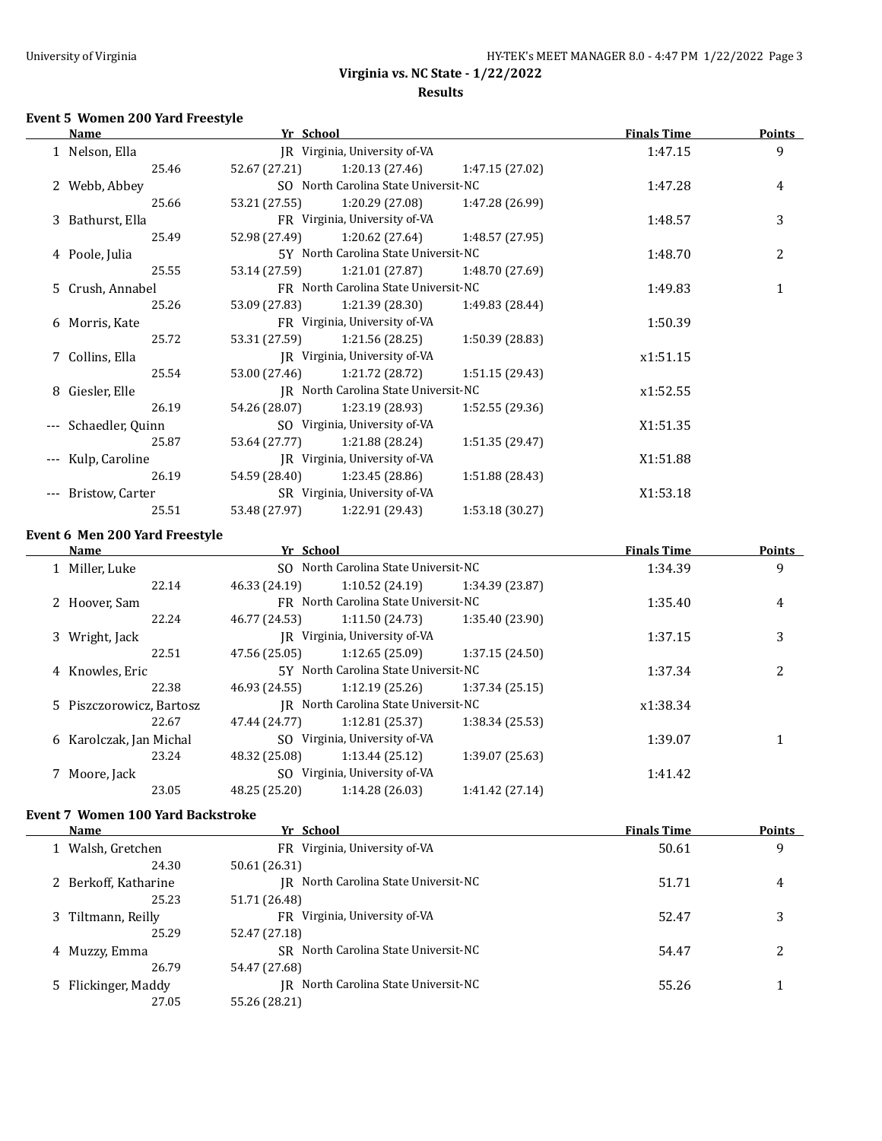## **Event 5 Women 200 Yard Freestyle**

|       | Name             | Yr School                            |                                      |                 | <b>Finals Time</b> | <b>Points</b> |
|-------|------------------|--------------------------------------|--------------------------------------|-----------------|--------------------|---------------|
|       | 1 Nelson, Ella   |                                      | IR Virginia, University of VA        |                 | 1:47.15            | 9             |
|       | 25.46            | 52.67 (27.21)                        | 1:20.13 (27.46)                      | 1:47.15 (27.02) |                    |               |
|       | 2 Webb, Abbey    |                                      | SO North Carolina State Universit-NC |                 | 1:47.28            | 4             |
|       | 25.66            | 53.21 (27.55)                        | 1:20.29 (27.08)                      | 1:47.28 (26.99) |                    |               |
|       | 3 Bathurst, Ella |                                      | FR Virginia, University of-VA        |                 | 1:48.57            | 3             |
|       | 25.49            | 52.98 (27.49)                        | 1:20.62 (27.64)                      | 1:48.57 (27.95) |                    |               |
|       | 4 Poole, Julia   |                                      | 5Y North Carolina State Universit-NC |                 | 1:48.70            | 2             |
|       | 25.55            | 53.14 (27.59)                        | 1:21.01 (27.87)                      | 1:48.70 (27.69) |                    |               |
|       | 5 Crush, Annabel | FR North Carolina State Universit-NC |                                      |                 | 1:49.83            | $\mathbf{1}$  |
|       | 25.26            | 53.09 (27.83)                        | 1:21.39 (28.30)                      | 1:49.83 (28.44) |                    |               |
|       | 6 Morris, Kate   |                                      | FR Virginia, University of VA        |                 |                    |               |
|       | 25.72            | 53.31 (27.59)                        | 1:21.56(28.25)                       | 1:50.39 (28.83) |                    |               |
|       | 7 Collins, Ella  |                                      | IR Virginia, University of-VA        |                 | x1:51.15           |               |
|       | 25.54            | 53.00 (27.46)                        | 1:21.72 (28.72)                      | 1:51.15(29.43)  |                    |               |
| 8     | Giesler, Elle    | IR North Carolina State Universit-NC |                                      |                 | x1:52.55           |               |
|       | 26.19            | 54.26 (28.07)                        | 1:23.19 (28.93)                      | 1:52.55(29.36)  |                    |               |
|       | Schaedler, Quinn |                                      | SO Virginia, University of-VA        |                 | X1:51.35           |               |
|       | 25.87            | 53.64 (27.77)                        | 1:21.88 (28.24)                      | 1:51.35 (29.47) |                    |               |
|       | Kulp, Caroline   |                                      | IR Virginia, University of-VA        |                 | X1:51.88           |               |
|       | 26.19            | 54.59 (28.40)                        | 1:23.45 (28.86)                      | 1:51.88 (28.43) |                    |               |
| $---$ | Bristow, Carter  |                                      | SR Virginia, University of-VA        |                 | X1:53.18           |               |
|       | 25.51            | 53.48 (27.97)                        | 1:22.91 (29.43)                      | 1:53.18(30.27)  |                    |               |
|       |                  |                                      |                                      |                 |                    |               |

#### **Event 6 Men 200 Yard Freestyle**

| Name                     |       | Yr School                            |                                      |                 | <b>Finals Time</b> | <b>Points</b> |
|--------------------------|-------|--------------------------------------|--------------------------------------|-----------------|--------------------|---------------|
| 1 Miller, Luke           |       |                                      | SO North Carolina State Universit-NC |                 | 1:34.39            | 9             |
|                          | 22.14 | 46.33 (24.19)                        | 1:10.52(24.19)                       | 1:34.39 (23.87) |                    |               |
| 2 Hoover, Sam            |       |                                      | FR North Carolina State Universit-NC |                 | 1:35.40            | 4             |
|                          | 22.24 | 46.77 (24.53)                        | 1:11.50 (24.73)                      | 1:35.40 (23.90) |                    |               |
| 3 Wright, Jack           |       |                                      | IR Virginia, University of-VA        |                 | 1:37.15            | 3             |
|                          | 22.51 | 47.56 (25.05)                        | 1:12.65(25.09)                       | 1:37.15(24.50)  |                    |               |
| 4 Knowles, Eric          |       | 5Y North Carolina State Universit-NC |                                      |                 | 1:37.34            | 2             |
|                          | 22.38 | 46.93 (24.55)                        | 1:12.19(25.26)                       | 1:37.34(25.15)  |                    |               |
| 5 Piszczorowicz, Bartosz |       |                                      | IR North Carolina State Universit-NC |                 | x1:38.34           |               |
|                          | 22.67 | 47.44 (24.77)                        | 1:12.81(25.37)                       | 1:38.34(25.53)  |                    |               |
| 6 Karolczak, Jan Michal  |       |                                      | SO Virginia, University of-VA        |                 | 1:39.07            |               |
|                          | 23.24 | 48.32 (25.08)                        | 1:13.44(25.12)                       | 1:39.07 (25.63) |                    |               |
| 7 Moore, Jack            |       |                                      | SO Virginia, University of-VA        |                 | 1:41.42            |               |
|                          | 23.05 | 48.25 (25.20)                        | 1:14.28 (26.03)                      | 1:41.42 (27.14) |                    |               |
|                          |       |                                      |                                      |                 |                    |               |

#### **Event 7 Women 100 Yard Backstroke**

| Name                 | Yr School                            | <b>Finals Time</b> | <b>Points</b>  |
|----------------------|--------------------------------------|--------------------|----------------|
| 1 Walsh, Gretchen    | FR Virginia, University of-VA        | 50.61              | 9              |
| 24.30                | 50.61 (26.31)                        |                    |                |
| 2 Berkoff, Katharine | IR North Carolina State Universit-NC | 51.71              | $\overline{4}$ |
| 25.23                | 51.71 (26.48)                        |                    |                |
| 3 Tiltmann, Reilly   | FR Virginia, University of-VA        | 52.47              | 3              |
| 25.29                | 52.47 (27.18)                        |                    |                |
| 4 Muzzy, Emma        | SR North Carolina State Universit-NC | 54.47              | າ              |
| 26.79                | 54.47 (27.68)                        |                    |                |
| 5 Flickinger, Maddy  | IR North Carolina State Universit-NC | 55.26              |                |
| 27.05                | 55.26 (28.21)                        |                    |                |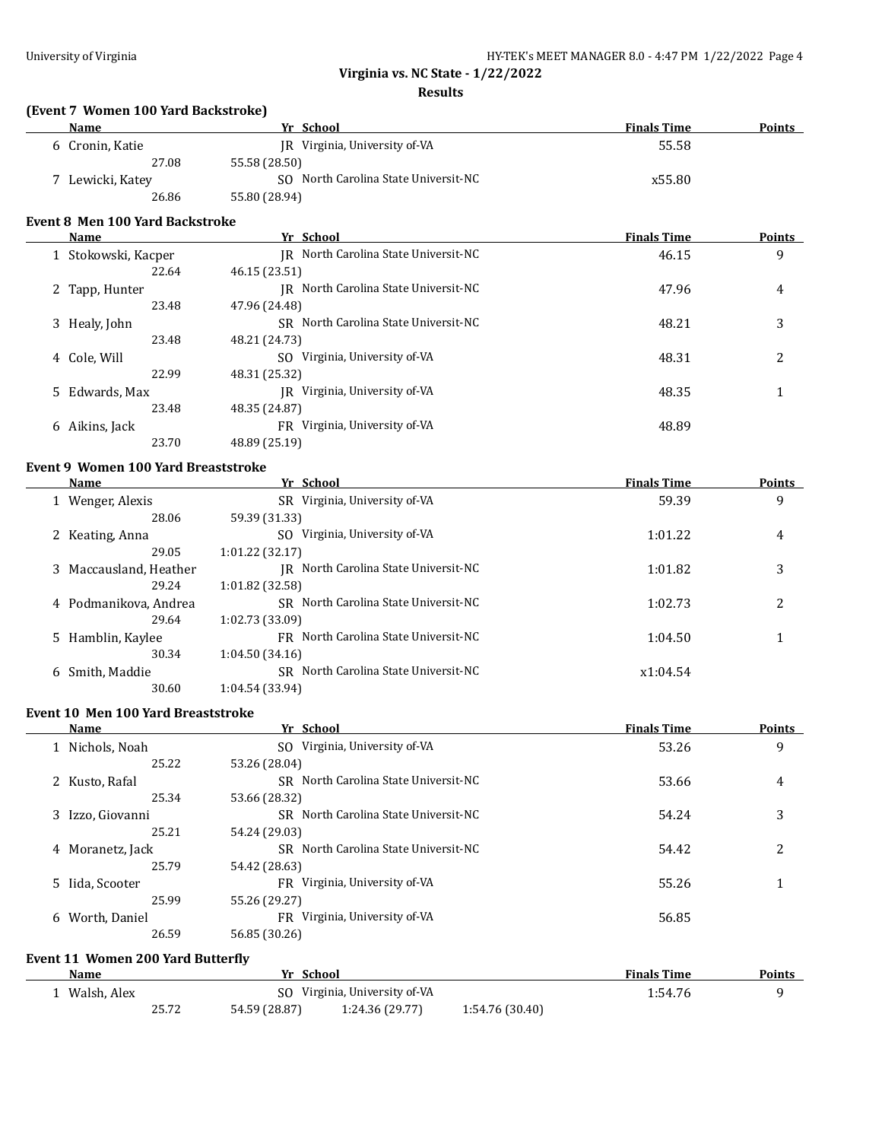#### **Results**

# **(Event 7 Women 100 Yard Backstroke)**

| Name                        | Yr School                            | <b>Finals Time</b> | <b>Points</b> |
|-----------------------------|--------------------------------------|--------------------|---------------|
| 6 Cronin, Katie             | IR Virginia, University of-VA        | 55.58              |               |
| 27.08                       | 55.58 (28.50)                        |                    |               |
| <sup>7</sup> Lewicki, Katey | SO North Carolina State Universit-NC | x55.80             |               |
| 26.86                       | 55.80 (28.94)                        |                    |               |

#### **Event 8 Men 100 Yard Backstroke**

| <b>Name</b>                  | Yr School                            | <b>Finals Time</b> | <b>Points</b> |
|------------------------------|--------------------------------------|--------------------|---------------|
| 1 Stokowski, Kacper          | IR North Carolina State Universit-NC | 46.15              | 9             |
| 22.64                        | 46.15 (23.51)                        |                    |               |
| Tapp, Hunter<br>$\mathbf{Z}$ | IR North Carolina State Universit-NC | 47.96              | 4             |
| 23.48                        | 47.96 (24.48)                        |                    |               |
| 3 Healy, John                | SR North Carolina State Universit-NC | 48.21              | 3             |
| 23.48                        | 48.21 (24.73)                        |                    |               |
| 4 Cole, Will                 | Virginia, University of-VA<br>SO.    | 48.31              | 2             |
| 22.99                        | 48.31 (25.32)                        |                    |               |
| 5 Edwards, Max               | Virginia, University of-VA<br>IR     | 48.35              |               |
| 23.48                        | 48.35 (24.87)                        |                    |               |
| 6 Aikins, Jack               | Virginia, University of-VA<br>FR     | 48.89              |               |
| 23.70                        | 48.89 (25.19)                        |                    |               |

# **Event 9 Women 100 Yard Breaststroke**

| <b>Name</b>            | Yr School                               | <b>Finals Time</b> | Points         |
|------------------------|-----------------------------------------|--------------------|----------------|
| 1 Wenger, Alexis       | SR Virginia, University of-VA           | 59.39              | 9              |
| 28.06                  | 59.39 (31.33)                           |                    |                |
| 2 Keating, Anna        | Virginia, University of-VA<br>SO.       | 1:01.22            | $\overline{4}$ |
| 29.05                  | 1:01.22(32.17)                          |                    |                |
| 3 Maccausland, Heather | North Carolina State Universit-NC<br>IR | 1:01.82            | 3              |
| 29.24                  | 1:01.82(32.58)                          |                    |                |
| 4 Podmanikova, Andrea  | SR North Carolina State Universit-NC    | 1:02.73            | 2              |
| 29.64                  | 1:02.73(33.09)                          |                    |                |
| 5 Hamblin, Kaylee      | FR North Carolina State Universit-NC    | 1:04.50            |                |
| 30.34                  | 1:04.50(34.16)                          |                    |                |
| 6 Smith, Maddie        | SR North Carolina State Universit-NC    | x1:04.54           |                |
| 30.60                  | 1:04.54 (33.94)                         |                    |                |

#### **Event 10 Men 100 Yard Breaststroke**

| Name               | Yr School                            | <b>Finals Time</b> | <b>Points</b> |
|--------------------|--------------------------------------|--------------------|---------------|
| 1 Nichols, Noah    | SO Virginia, University of-VA        | 53.26              | 9             |
| 25.22              | 53.26 (28.04)                        |                    |               |
| 2 Kusto, Rafal     | SR North Carolina State Universit-NC | 53.66              | 4             |
| 25.34              | 53.66 (28.32)                        |                    |               |
| 3 Izzo, Giovanni   | SR North Carolina State Universit-NC | 54.24              | 3             |
| 25.21              | 54.24 (29.03)                        |                    |               |
| 4 Moranetz, Jack   | SR North Carolina State Universit-NC | 54.42              | 2             |
| 25.79              | 54.42 (28.63)                        |                    |               |
| 5 Iida, Scooter    | FR Virginia, University of-VA        | 55.26              |               |
| 25.99              | 55.26 (29.27)                        |                    |               |
| Worth, Daniel<br>6 | FR Virginia, University of-VA        | 56.85              |               |
| 26.59              | 56.85 (30.26)                        |                    |               |
|                    |                                      |                    |               |

# **Event 11 Women 200 Yard Butterfly**

| <b>Name</b> |       | School<br>Vr  |                               |                 | <b>Finals Time</b> | Points |
|-------------|-------|---------------|-------------------------------|-----------------|--------------------|--------|
| Walsh. Alex |       |               | SO Virginia, University of VA |                 | 1:54.76            |        |
|             | 25.72 | 54.59 (28.87) | 1:24.36 (29.77)               | 1:54.76 (30.40) |                    |        |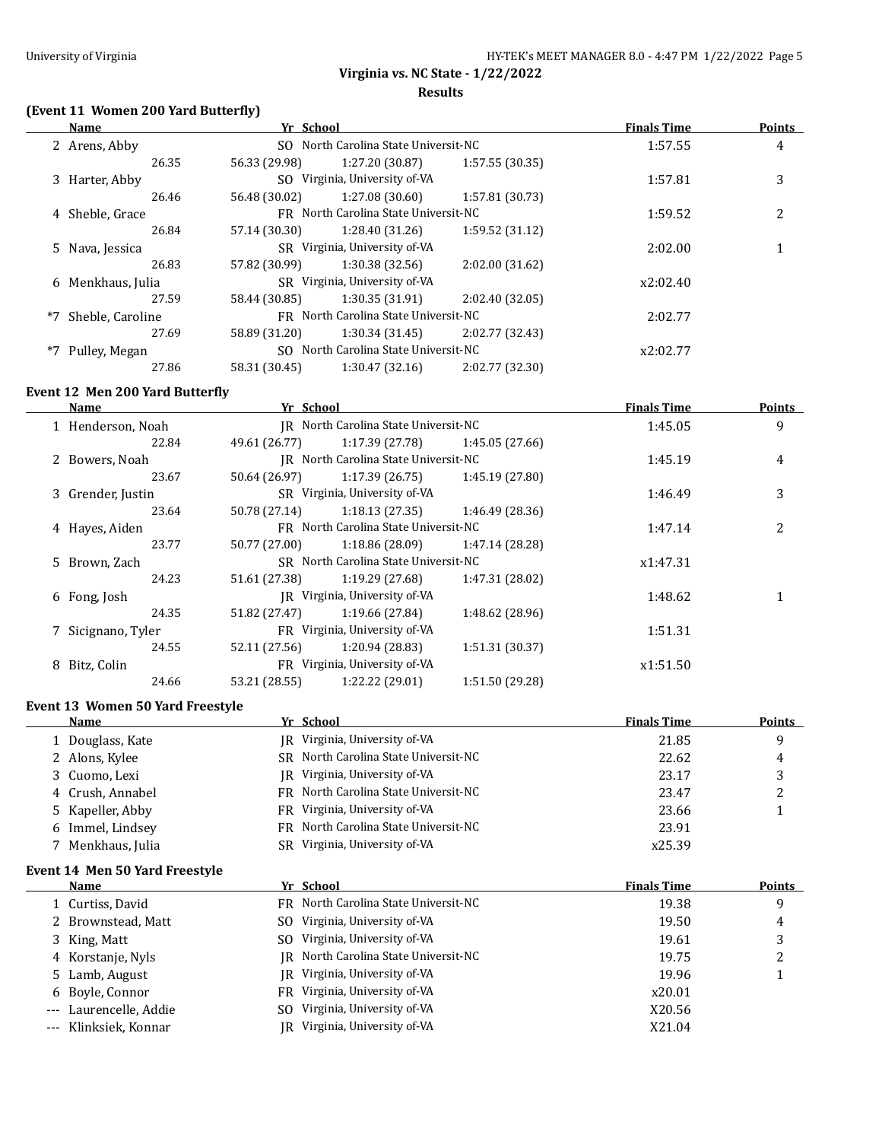## **(Event 11 Women 200 Yard Butterfly)**

| Yr School<br><b>Name</b> |                   |                                      |                                      |                 | <b>Finals Time</b> | <b>Points</b> |
|--------------------------|-------------------|--------------------------------------|--------------------------------------|-----------------|--------------------|---------------|
|                          | 2 Arens, Abby     |                                      | SO North Carolina State Universit-NC |                 | 1:57.55            | 4             |
|                          | 26.35             | 56.33 (29.98)                        | 1:27.20 (30.87)                      | 1:57.55(30.35)  |                    |               |
|                          | 3 Harter, Abby    |                                      | SO Virginia, University of-VA        |                 | 1:57.81            | 3             |
|                          | 26.46             | 56.48 (30.02)                        | 1:27.08(30.60)                       | 1:57.81 (30.73) |                    |               |
|                          | 4 Sheble, Grace   | FR North Carolina State Universit-NC |                                      |                 | 1:59.52            | 2             |
|                          | 26.84             | 57.14 (30.30)                        | 1:28.40 (31.26)                      | 1:59.52(31.12)  |                    |               |
|                          | 5 Nava, Jessica   |                                      | SR Virginia, University of-VA        |                 |                    |               |
|                          | 26.83             | 57.82 (30.99)                        | 1:30.38(32.56)                       | 2:02.00 (31.62) |                    |               |
|                          | 6 Menkhaus, Julia |                                      | SR Virginia, University of-VA        |                 | x2:02.40           |               |
|                          | 27.59             | 58.44 (30.85)                        | 1:30.35(31.91)                       | 2:02.40 (32.05) |                    |               |
| $*7$                     | Sheble, Caroline  |                                      | FR North Carolina State Universit-NC |                 | 2:02.77            |               |
|                          | 27.69             | 58.89 (31.20)                        | 1:30.34(31.45)                       | 2:02.77 (32.43) |                    |               |
| *7                       | Pulley, Megan     |                                      | SO North Carolina State Universit-NC |                 |                    |               |
|                          | 27.86             | 58.31 (30.45)                        | 1:30.47(32.16)                       | 2:02.77 (32.30) |                    |               |

#### **Event 12 Men 200 Yard Butterfly**

| Name               | Yr School     |                                      |                 | <b>Finals Time</b> | <b>Points</b> |  |
|--------------------|---------------|--------------------------------------|-----------------|--------------------|---------------|--|
| 1 Henderson, Noah  |               | IR North Carolina State Universit-NC |                 | 1:45.05            | 9             |  |
| 22.84              | 49.61 (26.77) | 1:17.39(27.78)                       | 1:45.05 (27.66) |                    |               |  |
| 2 Bowers, Noah     |               | IR North Carolina State Universit-NC |                 | 1:45.19            | 4             |  |
| 23.67              | 50.64 (26.97) | 1:17.39(26.75)                       | 1:45.19 (27.80) |                    |               |  |
| 3 Grender, Justin  |               | SR Virginia, University of-VA        |                 | 1:46.49            | 3             |  |
| 23.64              | 50.78 (27.14) | 1:18.13(27.35)                       | 1:46.49 (28.36) |                    |               |  |
| 4 Hayes, Aiden     |               | FR North Carolina State Universit-NC |                 | 1:47.14            | 2             |  |
| 23.77              | 50.77 (27.00) | 1:18.86(28.09)                       | 1:47.14 (28.28) |                    |               |  |
| 5 Brown, Zach      |               | SR North Carolina State Universit-NC |                 | x1:47.31           |               |  |
| 24.23              | 51.61 (27.38) | 1:19.29 (27.68)                      | 1:47.31 (28.02) |                    |               |  |
| 6 Fong, Josh       |               | IR Virginia, University of-VA        |                 |                    |               |  |
| 24.35              | 51.82 (27.47) | 1:19.66 (27.84)                      | 1:48.62 (28.96) |                    |               |  |
| 7 Sicignano, Tyler |               | FR Virginia, University of-VA        |                 | 1:51.31            |               |  |
| 24.55              | 52.11 (27.56) | 1:20.94 (28.83)                      | 1:51.31 (30.37) |                    |               |  |
| Bitz, Colin<br>8   |               | FR Virginia, University of-VA        |                 | x1:51.50           |               |  |
| 24.66              | 53.21 (28.55) | 1:22.22 (29.01)                      | 1:51.50 (29.28) |                    |               |  |

#### **Event 13 Women 50 Yard Freestyle**

| <b>Name</b>       | Yr School                            | <b>Finals Time</b> | <b>Points</b> |
|-------------------|--------------------------------------|--------------------|---------------|
| 1 Douglass, Kate  | Virginia, University of-VA<br>IR     | 21.85              | q             |
| 2 Alons, Kylee    | SR North Carolina State Universit-NC | 22.62              | 4             |
| 3 Cuomo, Lexi     | Virginia, University of-VA<br>IR     | 23.17              |               |
| 4 Crush, Annabel  | FR North Carolina State Universit-NC | 23.47              | ∠             |
| 5 Kapeller, Abby  | FR Virginia, University of-VA        | 23.66              |               |
| 6 Immel, Lindsey  | FR North Carolina State Universit-NC | 23.91              |               |
| 7 Menkhaus, Julia | Virginia, University of-VA<br>SR.    | x25.39             |               |

#### **Event 14 Men 50 Yard Freestyle**

| Name                   | Yr School                            | <b>Finals Time</b> | <b>Points</b> |
|------------------------|--------------------------------------|--------------------|---------------|
| 1 Curtiss, David       | FR North Carolina State Universit-NC | 19.38              | 9             |
| 2 Brownstead, Matt     | Virginia, University of-VA<br>SO.    | 19.50              | 4             |
| 3 King, Matt           | Virginia, University of-VA<br>SO.    | 19.61              |               |
| 4 Korstanje, Nyls      | IR North Carolina State Universit-NC | 19.75              |               |
| 5 Lamb, August         | IR Virginia, University of-VA        | 19.96              |               |
| 6 Boyle, Connor        | FR Virginia, University of-VA        | x20.01             |               |
| --- Laurencelle, Addie | Virginia, University of-VA<br>SO.    | X20.56             |               |
| --- Klinksiek, Konnar  | Virginia, University of-VA<br>IR     | X21.04             |               |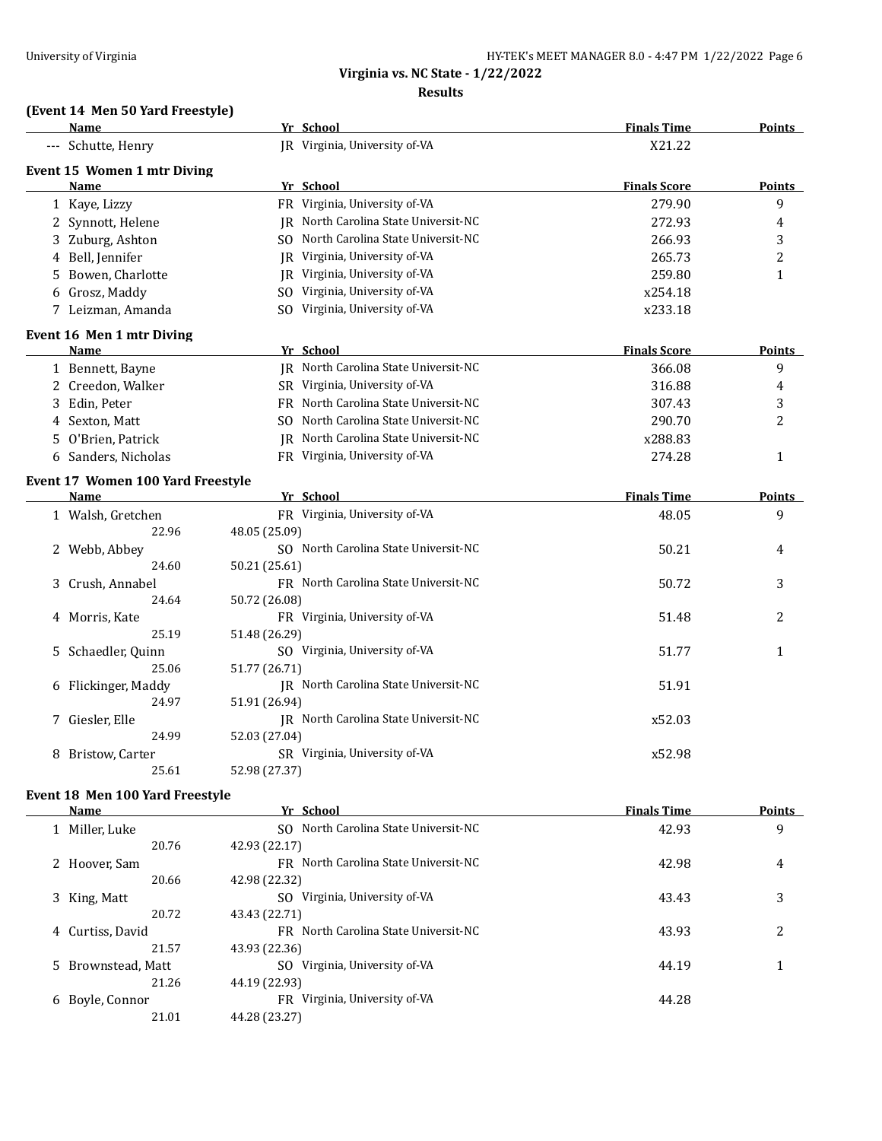## **(Event 14 Men 50 Yard Freestyle)**

|    | Name                              |               | Yr School                            | <b>Finals Time</b>  | <b>Points</b>  |
|----|-----------------------------------|---------------|--------------------------------------|---------------------|----------------|
|    | --- Schutte, Henry                |               | JR Virginia, University of-VA        | X21.22              |                |
|    | Event 15 Women 1 mtr Diving       |               |                                      |                     |                |
|    | <b>Name</b>                       |               | Yr School                            | <b>Finals Score</b> | <b>Points</b>  |
|    | 1 Kaye, Lizzy                     |               | FR Virginia, University of-VA        | 279.90              | 9              |
|    | 2 Synnott, Helene                 |               | IR North Carolina State Universit-NC | 272.93              | 4              |
|    | 3 Zuburg, Ashton                  |               | SO North Carolina State Universit-NC | 266.93              | 3              |
|    | 4 Bell, Jennifer                  |               | JR Virginia, University of-VA        | 265.73              | $\overline{c}$ |
| 5. | Bowen, Charlotte                  |               | IR Virginia, University of-VA        | 259.80              | $\mathbf{1}$   |
|    | 6 Grosz, Maddy                    |               | SO Virginia, University of-VA        | x254.18             |                |
|    | 7 Leizman, Amanda                 |               | SO Virginia, University of-VA        | x233.18             |                |
|    | Event 16 Men 1 mtr Diving         |               |                                      |                     |                |
|    | Name                              |               | Yr School                            | <b>Finals Score</b> | <b>Points</b>  |
|    | 1 Bennett, Bayne                  |               | IR North Carolina State Universit-NC | 366.08              | 9              |
|    | 2 Creedon, Walker                 |               | SR Virginia, University of-VA        | 316.88              | 4              |
|    | 3 Edin, Peter                     |               | FR North Carolina State Universit-NC | 307.43              | 3              |
|    | 4 Sexton, Matt                    |               | SO North Carolina State Universit-NC | 290.70              | 2              |
|    | 5 O'Brien, Patrick                |               | IR North Carolina State Universit-NC | x288.83             |                |
|    | 6 Sanders, Nicholas               |               | FR Virginia, University of-VA        | 274.28              | $\mathbf{1}$   |
|    | Event 17 Women 100 Yard Freestyle |               |                                      |                     |                |
|    | <b>Name</b>                       |               | Yr School                            | <b>Finals Time</b>  | <b>Points</b>  |
|    | 1 Walsh, Gretchen                 |               | FR Virginia, University of-VA        | 48.05               | 9              |
|    | 22.96                             | 48.05 (25.09) |                                      |                     |                |
|    | 2 Webb, Abbey                     |               | SO North Carolina State Universit-NC | 50.21               | 4              |
|    | 24.60                             | 50.21 (25.61) |                                      |                     |                |
|    | 3 Crush, Annabel                  |               | FR North Carolina State Universit-NC | 50.72               | 3              |
|    | 24.64                             | 50.72 (26.08) |                                      |                     |                |
|    | 4 Morris, Kate                    |               | FR Virginia, University of-VA        | 51.48               | 2              |
|    | 25.19                             | 51.48 (26.29) |                                      |                     |                |
|    | 5 Schaedler, Quinn                |               | SO Virginia, University of-VA        | 51.77               | 1              |
|    | 25.06                             | 51.77 (26.71) |                                      |                     |                |
|    | 6 Flickinger, Maddy               |               | JR North Carolina State Universit-NC | 51.91               |                |
|    | 24.97                             | 51.91 (26.94) |                                      |                     |                |
|    | 7 Giesler, Elle                   |               | JR North Carolina State Universit-NC | x52.03              |                |
|    | 24.99                             | 52.03 (27.04) |                                      |                     |                |
|    | 8 Bristow, Carter                 |               | SR Virginia, University of-VA        | x52.98              |                |
|    | 25.61                             | 52.98 (27.37) |                                      |                     |                |

# **Event 18 Men 100 Yard Freestyle**

 $\equiv$ 

| Name               |       | Yr School                                   | <b>Finals Time</b> | <b>Points</b> |
|--------------------|-------|---------------------------------------------|--------------------|---------------|
| 1 Miller, Luke     |       | North Carolina State Universit-NC<br>SO.    | 42.93              | 9             |
|                    | 20.76 | 42.93 (22.17)                               |                    |               |
| 2 Hoover, Sam      |       | FR North Carolina State Universit-NC        | 42.98              | 4             |
|                    | 20.66 | 42.98 (22.32)                               |                    |               |
| 3 King, Matt       |       | Virginia, University of-VA<br>SO.           | 43.43              | 3             |
|                    | 20.72 | 43.43 (22.71)                               |                    |               |
| 4 Curtiss, David   |       | <b>FR</b> North Carolina State Universit-NC | 43.93              | 2             |
|                    | 21.57 | 43.93 (22.36)                               |                    |               |
| 5 Brownstead, Matt |       | SO Virginia, University of-VA               | 44.19              |               |
|                    | 21.26 | 44.19 (22.93)                               |                    |               |
| Boyle, Connor<br>6 |       | FR Virginia, University of-VA               | 44.28              |               |
|                    | 21.01 | 44.28 (23.27)                               |                    |               |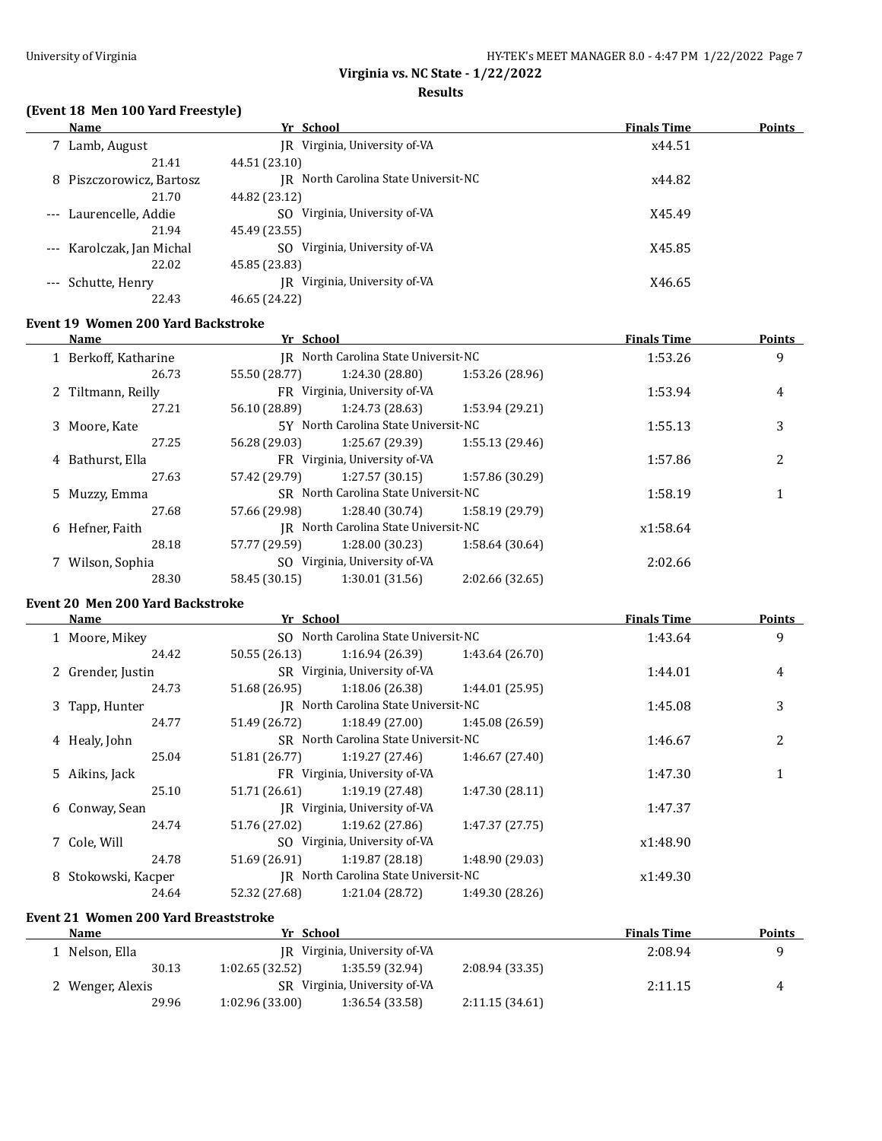**Results**

# **(Event 18 Men 100 Yard Freestyle)**

| Name                      | Yr School                               | <b>Finals Time</b> | Points |
|---------------------------|-----------------------------------------|--------------------|--------|
| 7 Lamb, August            | JR Virginia, University of-VA           | x44.51             |        |
| 21.41                     | 44.51 (23.10)                           |                    |        |
| 8 Piszczorowicz, Bartosz  | North Carolina State Universit-NC<br>IR | x44.82             |        |
| 21.70                     | 44.82 (23.12)                           |                    |        |
| --- Laurencelle, Addie    | Virginia, University of-VA<br>SO.       | X45.49             |        |
| 21.94                     | 45.49 (23.55)                           |                    |        |
| --- Karolczak, Jan Michal | Virginia, University of-VA<br>SO.       | X45.85             |        |
| 22.02                     | 45.85 (23.83)                           |                    |        |
| Schutte, Henry            | JR Virginia, University of-VA           | X46.65             |        |
| 22.43                     | 46.65 (24.22)                           |                    |        |

#### **Event 19 Women 200 Yard Backstroke**

| Name                 | Yr School     |                                      |                 | <b>Finals Time</b> | <b>Points</b> |
|----------------------|---------------|--------------------------------------|-----------------|--------------------|---------------|
| 1 Berkoff, Katharine | IR            | North Carolina State Universit-NC    |                 | 1:53.26            | 9             |
| 26.73                | 55.50 (28.77) | 1:24.30 (28.80)                      | 1:53.26 (28.96) |                    |               |
| 2 Tiltmann, Reilly   |               | FR Virginia, University of-VA        |                 | 1:53.94            | 4             |
| 27.21                | 56.10 (28.89) | 1:24.73 (28.63)                      | 1:53.94 (29.21) |                    |               |
| 3 Moore, Kate        |               | 5Y North Carolina State Universit-NC |                 | 1:55.13            | 3             |
| 27.25                | 56.28 (29.03) | 1:25.67 (29.39)                      | 1:55.13(29.46)  |                    |               |
| 4 Bathurst, Ella     |               | FR Virginia, University of-VA        |                 | 1:57.86            | 2             |
| 27.63                | 57.42 (29.79) | 1:27.57(30.15)                       | 1:57.86 (30.29) |                    |               |
| 5 Muzzy, Emma        |               | SR North Carolina State Universit-NC |                 | 1:58.19            |               |
| 27.68                | 57.66 (29.98) | 1:28.40 (30.74)                      | 1:58.19 (29.79) |                    |               |
| 6 Hefner, Faith      | IR            | North Carolina State Universit-NC    |                 | x1:58.64           |               |
| 28.18                | 57.77 (29.59) | 1:28.00 (30.23)                      | 1:58.64 (30.64) |                    |               |
| 7 Wilson, Sophia     |               | SO Virginia, University of-VA        |                 | 2:02.66            |               |
| 28.30                | 58.45 (30.15) | 1:30.01(31.56)                       | 2:02.66 (32.65) |                    |               |
|                      |               |                                      |                 |                    |               |

# **Event 20 Men 200 Yard Backstroke**

 $\overline{a}$ 

| Name                | Yr School                            |                                      |                 | <b>Finals Time</b> | <b>Points</b> |
|---------------------|--------------------------------------|--------------------------------------|-----------------|--------------------|---------------|
| 1 Moore, Mikey      | SO North Carolina State Universit-NC |                                      |                 | 1:43.64            | 9             |
| 24.42               | 50.55 (26.13)                        | 1:16.94 (26.39)                      | 1:43.64(26.70)  |                    |               |
| 2 Grender, Justin   |                                      | SR Virginia, University of-VA        |                 | 1:44.01            | 4             |
| 24.73               | 51.68 (26.95)                        | 1:18.06(26.38)                       | 1:44.01 (25.95) |                    |               |
| 3 Tapp, Hunter      |                                      | IR North Carolina State Universit-NC |                 | 1:45.08            | 3             |
| 24.77               | 51.49 (26.72)                        | 1:18.49(27.00)                       | 1:45.08(26.59)  |                    |               |
| 4 Healy, John       |                                      | SR North Carolina State Universit-NC |                 | 1:46.67            | 2             |
| 25.04               | 51.81 (26.77)                        | 1:19.27(27.46)                       | 1:46.67(27.40)  |                    |               |
| 5 Aikins, Jack      |                                      | FR Virginia, University of-VA        |                 | 1:47.30            |               |
| 25.10               | 51.71 (26.61)                        | 1:19.19(27.48)                       | 1:47.30(28.11)  |                    |               |
| 6 Conway, Sean      |                                      | IR Virginia, University of-VA        |                 | 1:47.37            |               |
| 24.74               | 51.76 (27.02)                        | 1:19.62(27.86)                       | 1:47.37 (27.75) |                    |               |
| 7 Cole, Will        |                                      | SO Virginia, University of-VA        |                 | x1:48.90           |               |
| 24.78               | 51.69 (26.91)                        | 1:19.87(28.18)                       | 1:48.90 (29.03) |                    |               |
| 8 Stokowski, Kacper |                                      | IR North Carolina State Universit-NC |                 | x1:49.30           |               |
| 24.64               | 52.32 (27.68)                        | 1:21.04 (28.72)                      | 1:49.30 (28.26) |                    |               |

# **Event 21 Women 200 Yard Breaststroke**

| <b>Name</b>      | Yr School                     |                 |                | <b>Finals Time</b> | <b>Points</b> |
|------------------|-------------------------------|-----------------|----------------|--------------------|---------------|
| Nelson, Ella     | IR Virginia, University of-VA |                 |                | 2:08.94            |               |
| 30.13            | 1:02.65(32.52)                | 1:35.59 (32.94) | 2:08.94(33.35) |                    |               |
| 2 Wenger, Alexis | SR Virginia, University of VA |                 |                | 2:11.15            | 4             |
| 29.96            | 1:02.96(33.00)                | 1:36.54 (33.58) | 2:11.15(34.61) |                    |               |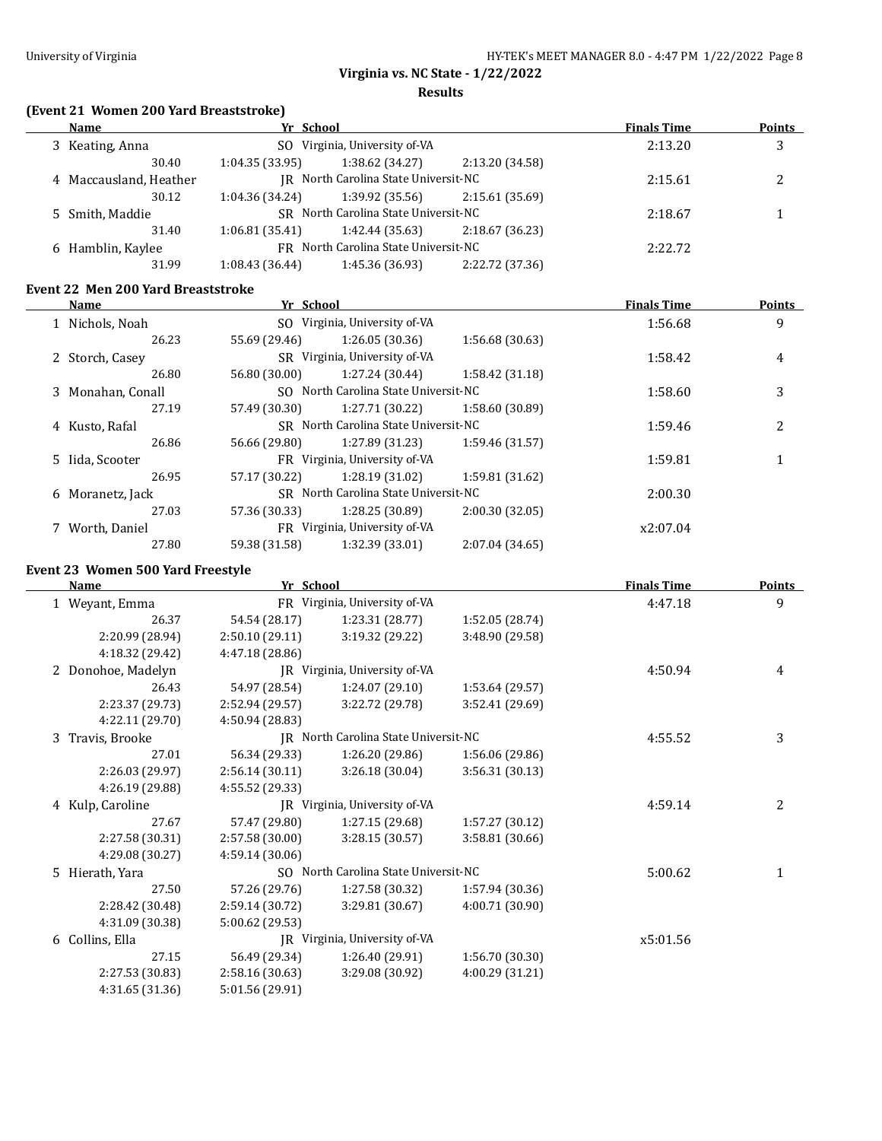**Results**

# **(Event 21 Women 200 Yard Breaststroke)**

| Name                   |                         | Yr School                            |                 | <b>Finals Time</b> | <b>Points</b> |   |
|------------------------|-------------------------|--------------------------------------|-----------------|--------------------|---------------|---|
| 3 Keating, Anna        |                         | SO Virginia, University of-VA        |                 |                    | 2:13.20       | 3 |
|                        | 1:04.35(33.95)<br>30.40 |                                      | 1:38.62(34.27)  | 2:13.20 (34.58)    |               |   |
| 4 Maccausland, Heather |                         | IR North Carolina State Universit-NC |                 |                    | 2:15.61       | 2 |
|                        | 30.12<br>1:04.36(34.24) |                                      | 1:39.92 (35.56) | 2:15.61 (35.69)    |               |   |
| 5 Smith, Maddie        |                         | SR North Carolina State Universit-NC |                 |                    | 2:18.67       |   |
|                        | 31.40<br>1:06.81(35.41) |                                      | 1:42.44 (35.63) | 2:18.67 (36.23)    |               |   |
| 6 Hamblin, Kaylee      |                         | FR North Carolina State Universit-NC |                 |                    | 2:22.72       |   |
|                        | 31.99<br>1:08.43(36.44) |                                      | 1:45.36 (36.93) | 2:22.72 (37.36)    |               |   |

# **Event 22 Men 200 Yard Breaststroke**

| Name              | Yr School                            |                                      |                 | <b>Finals Time</b> | Points |
|-------------------|--------------------------------------|--------------------------------------|-----------------|--------------------|--------|
| 1 Nichols, Noah   |                                      | SO Virginia, University of-VA        |                 | 1:56.68            | 9      |
| 26.23             | 55.69 (29.46)                        | 1:26.05(30.36)                       | 1:56.68 (30.63) |                    |        |
| 2 Storch, Casey   |                                      | SR Virginia, University of VA        |                 | 1:58.42            | 4      |
| 26.80             | 56.80 (30.00)                        | 1:27.24(30.44)                       | 1:58.42 (31.18) |                    |        |
| 3 Monahan, Conall | SO North Carolina State Universit-NC |                                      |                 | 1:58.60            | 3      |
| 27.19             | 57.49 (30.30)                        | 1:27.71 (30.22)                      | 1:58.60 (30.89) |                    |        |
| 4 Kusto, Rafal    | SR North Carolina State Universit-NC |                                      |                 | 1:59.46            |        |
| 26.86             | 56.66 (29.80)                        | 1:27.89 (31.23)                      | 1:59.46 (31.57) |                    |        |
| 5 Iida, Scooter   |                                      | FR Virginia, University of-VA        |                 |                    |        |
| 26.95             | 57.17 (30.22)                        | 1:28.19 (31.02)                      | 1:59.81 (31.62) |                    |        |
| 6 Moranetz, Jack  |                                      | SR North Carolina State Universit-NC |                 | 2:00.30            |        |
| 27.03             | 57.36 (30.33)                        | 1:28.25 (30.89)                      | 2:00.30 (32.05) |                    |        |
| 7 Worth, Daniel   |                                      | FR Virginia, University of-VA        |                 | x2:07.04           |        |
| 27.80             | 59.38 (31.58)                        | 1:32.39 (33.01)                      | 2:07.04 (34.65) |                    |        |

# **Event 23 Women 500 Yard Freestyle**

÷,

|    | Name               | Yr School       |                                      |                 | <b>Finals Time</b> | <b>Points</b> |
|----|--------------------|-----------------|--------------------------------------|-----------------|--------------------|---------------|
|    | 1 Weyant, Emma     |                 | FR Virginia, University of-VA        |                 | 4:47.18            | 9             |
|    | 26.37              | 54.54 (28.17)   | 1:23.31 (28.77)                      | 1:52.05 (28.74) |                    |               |
|    | 2:20.99 (28.94)    | 2:50.10 (29.11) | 3:19.32 (29.22)                      | 3:48.90 (29.58) |                    |               |
|    | 4:18.32 (29.42)    | 4:47.18 (28.86) |                                      |                 |                    |               |
|    | 2 Donohoe, Madelyn |                 | JR Virginia, University of-VA        |                 | 4:50.94            | 4             |
|    | 26.43              | 54.97 (28.54)   | 1:24.07(29.10)                       | 1:53.64 (29.57) |                    |               |
|    | 2:23.37 (29.73)    | 2:52.94 (29.57) | 3:22.72 (29.78)                      | 3:52.41 (29.69) |                    |               |
|    | 4:22.11 (29.70)    | 4:50.94 (28.83) |                                      |                 |                    |               |
| 3  | Travis, Brooke     |                 | JR North Carolina State Universit-NC |                 | 4:55.52            | 3             |
|    | 27.01              | 56.34 (29.33)   | 1:26.20 (29.86)                      | 1:56.06 (29.86) |                    |               |
|    | 2:26.03 (29.97)    | 2:56.14 (30.11) | 3:26.18(30.04)                       | 3:56.31 (30.13) |                    |               |
|    | 4:26.19 (29.88)    | 4:55.52 (29.33) |                                      |                 |                    |               |
|    | 4 Kulp, Caroline   |                 | JR Virginia, University of-VA        |                 | 4:59.14            | 2             |
|    | 27.67              | 57.47 (29.80)   | 1:27.15 (29.68)                      | 1:57.27 (30.12) |                    |               |
|    | 2:27.58 (30.31)    | 2:57.58 (30.00) | 3:28.15(30.57)                       | 3:58.81 (30.66) |                    |               |
|    | 4:29.08 (30.27)    | 4:59.14(30.06)  |                                      |                 |                    |               |
| .5 | Hierath, Yara      |                 | SO North Carolina State Universit-NC |                 | 5:00.62            | 1             |
|    | 27.50              | 57.26 (29.76)   | 1:27.58 (30.32)                      | 1:57.94 (30.36) |                    |               |
|    | 2:28.42 (30.48)    | 2:59.14 (30.72) | 3:29.81(30.67)                       | 4:00.71 (30.90) |                    |               |
|    | 4:31.09 (30.38)    | 5:00.62 (29.53) |                                      |                 |                    |               |
| 6  | Collins, Ella      |                 | JR Virginia, University of-VA        |                 | x5:01.56           |               |
|    | 27.15              | 56.49 (29.34)   | 1:26.40 (29.91)                      | 1:56.70 (30.30) |                    |               |
|    | 2:27.53 (30.83)    | 2:58.16 (30.63) | 3:29.08 (30.92)                      | 4:00.29 (31.21) |                    |               |
|    | 4:31.65 (31.36)    | 5:01.56 (29.91) |                                      |                 |                    |               |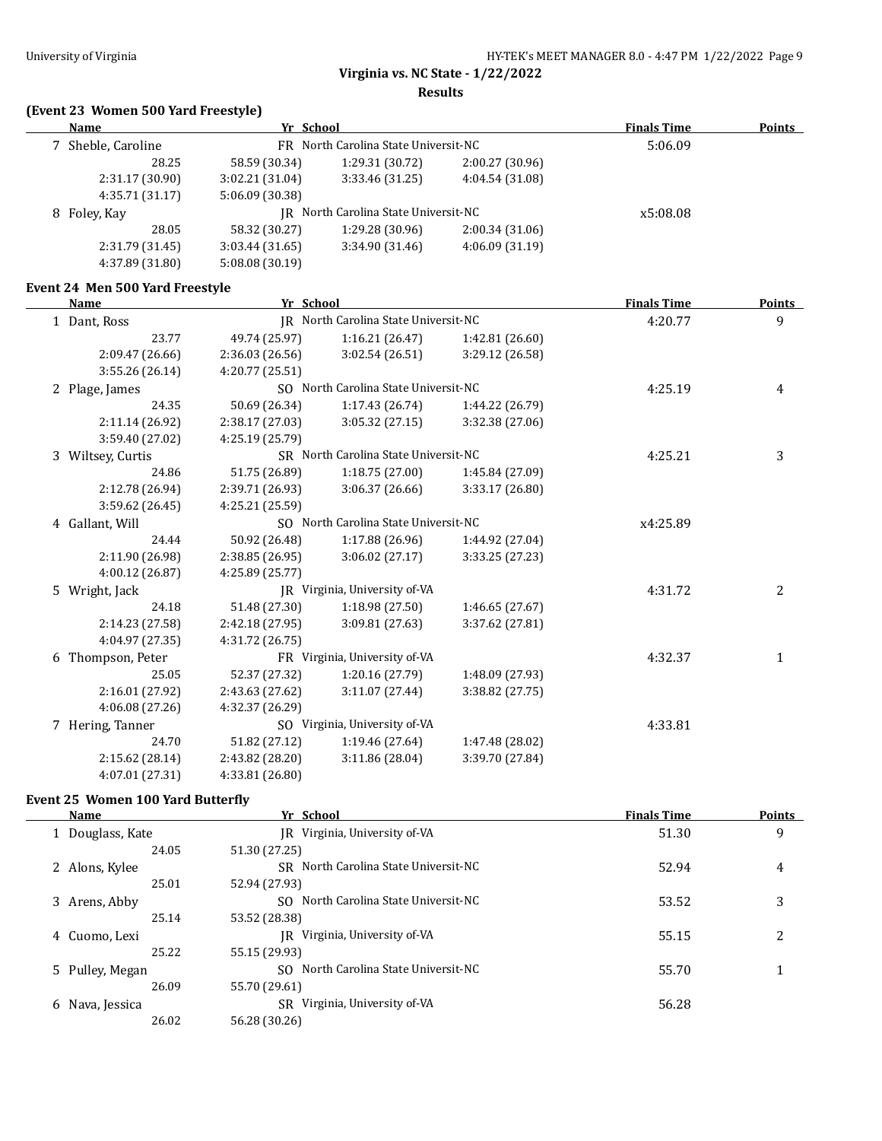**Results**

# **(Event 23 Women 500 Yard Freestyle)**

| <u>Name</u>                     | Yr School                            |                                      |                 | <b>Finals Time</b> | <b>Points</b> |
|---------------------------------|--------------------------------------|--------------------------------------|-----------------|--------------------|---------------|
| 7 Sheble, Caroline              | FR North Carolina State Universit-NC |                                      |                 |                    |               |
| 28.25                           | 58.59 (30.34)                        | 1:29.31 (30.72)                      | 2:00.27 (30.96) |                    |               |
| 2:31.17 (30.90)                 | 3:02.21 (31.04)                      | 3:33.46 (31.25)                      | 4:04.54 (31.08) |                    |               |
| 4:35.71 (31.17)                 | 5:06.09 (30.38)                      |                                      |                 |                    |               |
| 8 Foley, Kay                    |                                      | JR North Carolina State Universit-NC |                 | x5:08.08           |               |
| 28.05                           | 58.32 (30.27)                        | 1:29.28 (30.96)                      | 2:00.34(31.06)  |                    |               |
| 2:31.79 (31.45)                 | 3:03.44(31.65)                       | 3:34.90 (31.46)                      | 4:06.09 (31.19) |                    |               |
| 4:37.89 (31.80)                 | 5:08.08 (30.19)                      |                                      |                 |                    |               |
| Event 24 Men 500 Yard Freestyle |                                      |                                      |                 |                    |               |
| <b>Name</b>                     | Yr School                            |                                      |                 | <b>Finals Time</b> | <b>Points</b> |
| 1 Dant, Ross                    |                                      | JR North Carolina State Universit-NC |                 | 4:20.77            | 9             |
| 23.77                           | 49.74 (25.97)                        | 1:16.21 (26.47)                      | 1:42.81 (26.60) |                    |               |
| 2:09.47 (26.66)                 | 2:36.03(26.56)                       | 3:02.54 (26.51)                      | 3:29.12 (26.58) |                    |               |
| 3:55.26 (26.14)                 | 4:20.77 (25.51)                      |                                      |                 |                    |               |
| 2 Plage, James                  |                                      | SO North Carolina State Universit-NC |                 | 4:25.19            | 4             |
| 24.35                           | 50.69 (26.34)                        | 1:17.43(26.74)                       | 1:44.22 (26.79) |                    |               |
| 2:11.14 (26.92)                 | 2:38.17(27.03)                       | 3:05.32(27.15)                       | 3:32.38 (27.06) |                    |               |
| 3:59.40 (27.02)                 | 4:25.19 (25.79)                      |                                      |                 |                    |               |
| 3 Wiltsey, Curtis               |                                      | SR North Carolina State Universit-NC |                 | 4:25.21            | 3             |
| 24.86                           | 51.75 (26.89)                        | 1:18.75(27.00)                       | 1:45.84 (27.09) |                    |               |
| 2:12.78 (26.94)                 | 2:39.71 (26.93)                      | 3:06.37 (26.66)                      | 3:33.17 (26.80) |                    |               |
| 3:59.62 (26.45)                 | 4:25.21 (25.59)                      |                                      |                 |                    |               |
| 4 Gallant, Will                 |                                      | SO North Carolina State Universit-NC |                 | x4:25.89           |               |
| 24.44                           | 50.92 (26.48)                        | 1:17.88 (26.96)                      | 1:44.92 (27.04) |                    |               |
| 2:11.90 (26.98)                 | 2:38.85 (26.95)                      | 3:06.02 (27.17)                      | 3:33.25 (27.23) |                    |               |
| 4:00.12 (26.87)                 | 4:25.89 (25.77)                      |                                      |                 |                    |               |
| 5 Wright, Jack                  |                                      | JR Virginia, University of-VA        |                 | 4:31.72            | 2             |
| 24.18                           | 51.48 (27.30)                        | 1:18.98 (27.50)                      | 1:46.65 (27.67) |                    |               |
| 2:14.23 (27.58)                 | 2:42.18 (27.95)                      | 3:09.81 (27.63)                      | 3:37.62 (27.81) |                    |               |
| 4:04.97 (27.35)                 | 4:31.72 (26.75)                      |                                      |                 |                    |               |
| 6 Thompson, Peter               |                                      | FR Virginia, University of-VA        |                 | 4:32.37            | $\mathbf{1}$  |
| 25.05                           | 52.37 (27.32)                        | 1:20.16 (27.79)                      | 1:48.09 (27.93) |                    |               |
| 2:16.01 (27.92)                 | 2:43.63 (27.62)                      | 3:11.07 (27.44)                      | 3:38.82 (27.75) |                    |               |
| 4:06.08 (27.26)                 | 4:32.37 (26.29)                      |                                      |                 |                    |               |
| 7 Hering, Tanner                |                                      | SO Virginia, University of-VA        |                 | 4:33.81            |               |
| 24.70                           | 51.82 (27.12)                        | 1:19.46 (27.64)                      | 1:47.48 (28.02) |                    |               |
| 2:15.62 (28.14)                 | 2:43.82 (28.20)                      | 3:11.86 (28.04)                      | 3:39.70 (27.84) |                    |               |
| 4:07.01 (27.31)                 | 4:33.81 (26.80)                      |                                      |                 |                    |               |

## **Event 25 Women 100 Yard Butterfly**

| <b>Name</b>         | Yr School                                | <b>Finals Time</b> | <b>Points</b> |
|---------------------|------------------------------------------|--------------------|---------------|
| 1 Douglass, Kate    | Virginia, University of-VA<br>IR         | 51.30              | 9             |
| 24.05               | 51.30 (27.25)                            |                    |               |
| 2 Alons, Kylee      | SR North Carolina State Universit-NC     | 52.94              | 4             |
| 25.01               | 52.94 (27.93)                            |                    |               |
| 3 Arens, Abby       | SO North Carolina State Universit-NC     | 53.52              | 3             |
| 25.14               | 53.52 (28.38)                            |                    |               |
| 4 Cuomo, Lexi       | IR Virginia, University of-VA            | 55.15              | 2             |
| 25.22               | 55.15 (29.93)                            |                    |               |
| 5 Pulley, Megan     | North Carolina State Universit-NC<br>SO. | 55.70              |               |
| 26.09               | 55.70 (29.61)                            |                    |               |
| Nava, Jessica<br>6. | SR Virginia, University of-VA            | 56.28              |               |
| 26.02               | 56.28 (30.26)                            |                    |               |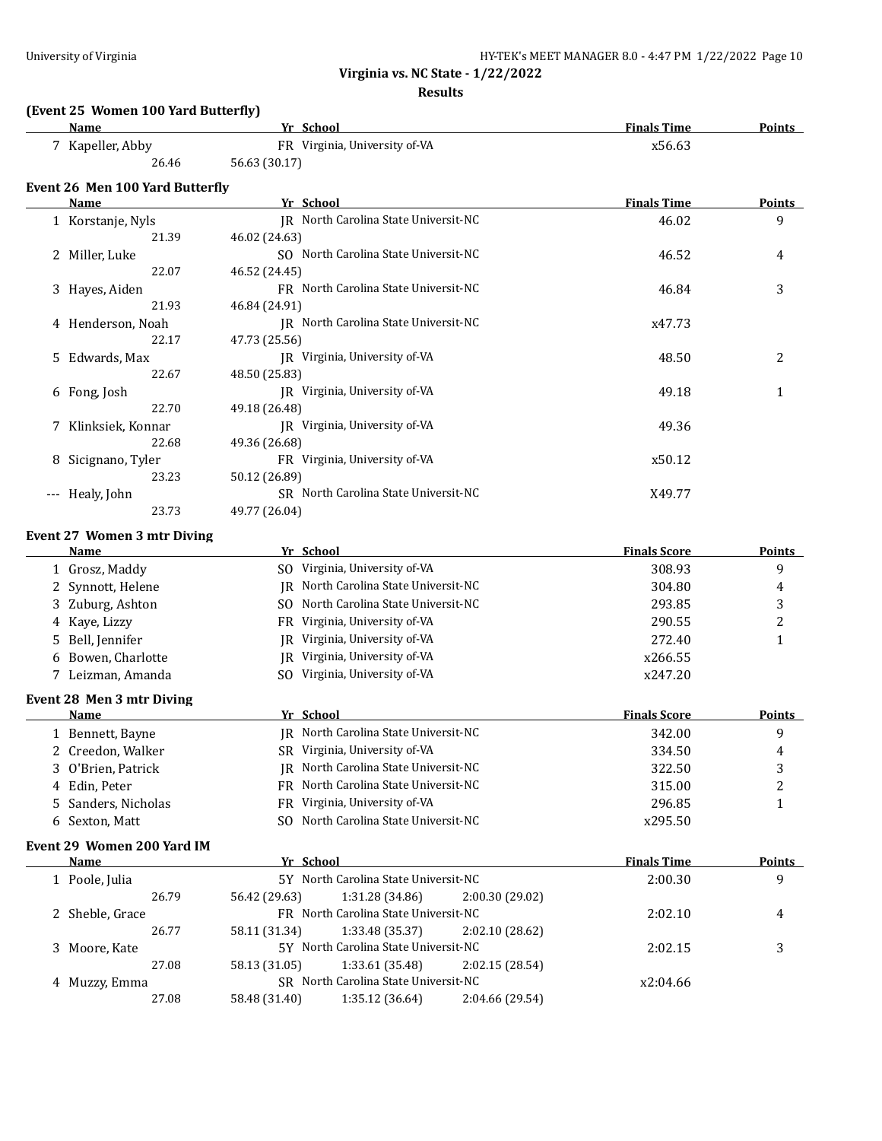#### **Results**

# **(Event 25 Women 100 Yard Butterfly)**

| Name             | Yr School                     | <b>Finals Time</b><br><b>Points</b> |  |
|------------------|-------------------------------|-------------------------------------|--|
| 7 Kapeller, Abby | FR Virginia, University of-VA | x56.63                              |  |
| 26.46            | 56.63 (30.17)                 |                                     |  |

## **Event 26 Men 100 Yard Butterfly**

| Name                               | Yr School                            | <b>Finals Time</b> | <b>Points</b> |
|------------------------------------|--------------------------------------|--------------------|---------------|
| 1 Korstanje, Nyls                  | JR North Carolina State Universit-NC | 46.02              | 9             |
| 21.39                              | 46.02 (24.63)                        |                    |               |
| 2 Miller, Luke                     | SO North Carolina State Universit-NC | 46.52              | 4             |
| 22.07                              | 46.52 (24.45)                        |                    |               |
| 3 Hayes, Aiden                     | FR North Carolina State Universit-NC | 46.84              | 3             |
| 21.93                              | 46.84 (24.91)                        |                    |               |
| 4 Henderson, Noah                  | IR North Carolina State Universit-NC | x47.73             |               |
| 22.17                              | 47.73 (25.56)                        |                    |               |
| 5 Edwards, Max                     | IR Virginia, University of-VA        | 48.50              | 2             |
| 22.67                              | 48.50 (25.83)                        |                    |               |
| 6 Fong, Josh                       | IR Virginia, University of-VA        | 49.18              | 1             |
| 22.70                              | 49.18 (26.48)                        |                    |               |
| 7 Klinksiek, Konnar                | IR Virginia, University of-VA        | 49.36              |               |
| 22.68                              | 49.36 (26.68)                        |                    |               |
| Sicignano, Tyler<br>8              | FR Virginia, University of-VA        | x50.12             |               |
| 23.23                              | 50.12 (26.89)                        |                    |               |
| Healy, John<br>$\qquad \qquad - -$ | SR North Carolina State Universit-NC | X49.77             |               |
| 23.73                              | 49.77 (26.04)                        |                    |               |

#### **Event 27 Women 3 mtr Diving**

|              | Name                       | Yr School     |                                      |                 | <b>Finals Score</b> | <b>Points</b> |
|--------------|----------------------------|---------------|--------------------------------------|-----------------|---------------------|---------------|
|              | 1 Grosz, Maddy             |               | SO Virginia, University of-VA        |                 | 308.93              | 9             |
|              | 2 Synnott, Helene          | IR            | North Carolina State Universit-NC    |                 | 304.80              | 4             |
|              | Zuburg, Ashton             | SO.           | North Carolina State Universit-NC    |                 | 293.85              | 3             |
|              | Kaye, Lizzy                | FR            | Virginia, University of-VA           |                 | 290.55              | 2             |
|              | Bell, Jennifer             | IR            | Virginia, University of-VA           |                 | 272.40              | 1             |
| <sub>b</sub> | Bowen, Charlotte           | IR            | Virginia, University of-VA           |                 | x266.55             |               |
|              | 7 Leizman, Amanda          | SO.           | Virginia, University of-VA           |                 | x247.20             |               |
|              | Event 28 Men 3 mtr Diving  |               |                                      |                 |                     |               |
|              | Name                       | Yr School     |                                      |                 | <b>Finals Score</b> | Points        |
|              | 1 Bennett, Bayne           |               | JR North Carolina State Universit-NC |                 | 342.00              | 9             |
|              | Creedon, Walker            | SR.           | Virginia, University of-VA           |                 | 334.50              | 4             |
|              | 3 O'Brien, Patrick         | IR            | North Carolina State Universit-NC    |                 | 322.50              | 3             |
|              | 4 Edin, Peter              | FR.           | North Carolina State Universit-NC    |                 | 315.00              | 2             |
| 5.           | Sanders, Nicholas          | FR            | Virginia, University of-VA           |                 | 296.85              | 1             |
|              | 6 Sexton, Matt             | SO.           | North Carolina State Universit-NC    |                 | x295.50             |               |
|              | Event 29 Women 200 Yard IM |               |                                      |                 |                     |               |
|              | Name                       | Yr School     |                                      |                 | <b>Finals Time</b>  | <b>Points</b> |
|              | 1 Poole, Julia             |               | 5Y North Carolina State Universit-NC |                 | 2:00.30             | 9             |
|              | 26.79                      | 56.42 (29.63) | 1:31.28(34.86)                       | 2:00.30 (29.02) |                     |               |
|              | 2 Sheble, Grace            |               | FR North Carolina State Universit-NC |                 | 2:02.10             | 4             |
|              | 26.77                      | 58.11 (31.34) | 1:33.48 (35.37)                      | 2:02.10 (28.62) |                     |               |
|              | 3 Moore, Kate              |               | 5Y North Carolina State Universit-NC |                 | 2:02.15             | 3             |
|              | 27.08                      | 58.13 (31.05) | 1:33.61 (35.48)                      | 2:02.15 (28.54) |                     |               |

4 Muzzy, Emma SR North Carolina State Universit-NC x2:04.66

27.08 58.48 (31.40) 1:35.12 (36.64) 2:04.66 (29.54)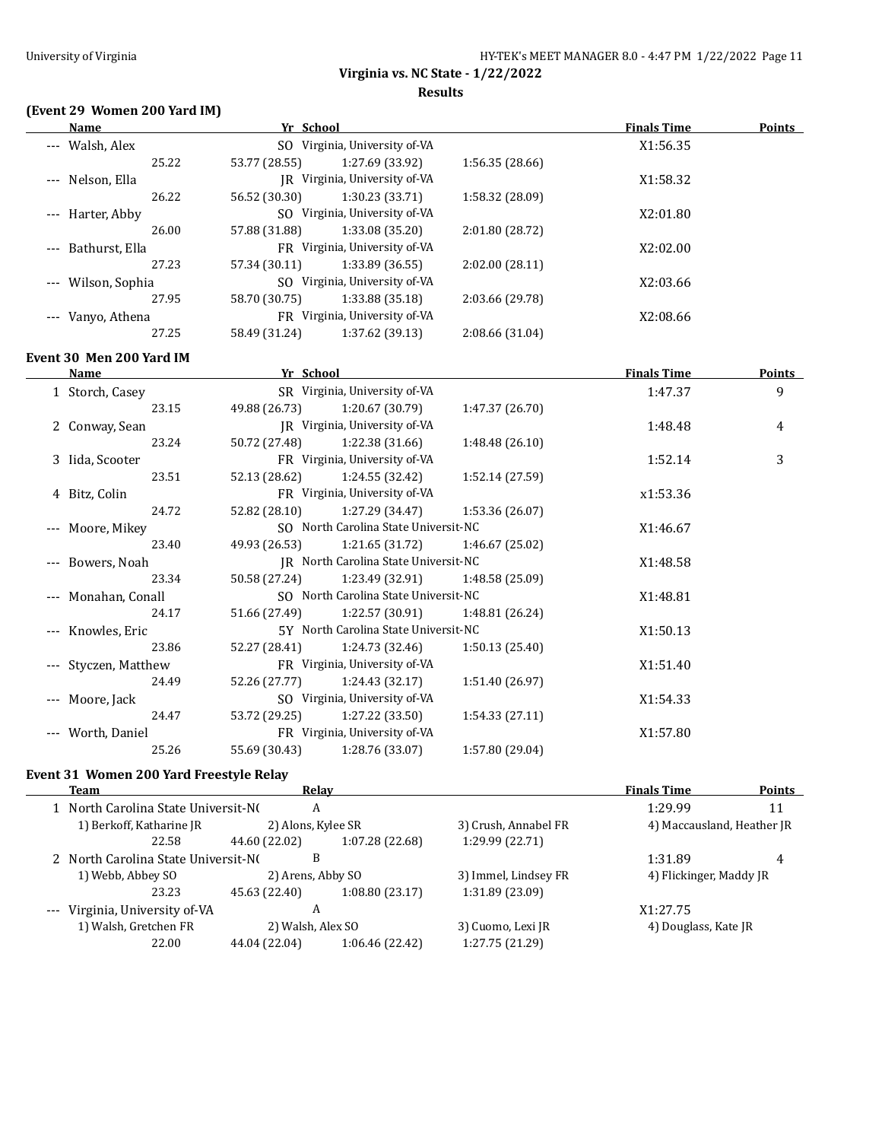# **(Event 29 Women 200 Yard IM)**

| Name                     | Yr School     |                                      |                 | <b>Finals Time</b> | <b>Points</b> |
|--------------------------|---------------|--------------------------------------|-----------------|--------------------|---------------|
| --- Walsh, Alex          |               | SO Virginia, University of-VA        |                 | X1:56.35           |               |
| 25.22                    | 53.77 (28.55) | 1:27.69 (33.92)                      | 1:56.35 (28.66) |                    |               |
| --- Nelson, Ella         |               | JR Virginia, University of-VA        |                 | X1:58.32           |               |
| 26.22                    | 56.52 (30.30) | 1:30.23 (33.71)                      | 1:58.32 (28.09) |                    |               |
| --- Harter, Abby         |               | SO Virginia, University of-VA        |                 | X2:01.80           |               |
| 26.00                    | 57.88 (31.88) | 1:33.08 (35.20)                      | 2:01.80 (28.72) |                    |               |
| --- Bathurst, Ella       |               | FR Virginia, University of-VA        |                 | X2:02.00           |               |
| 27.23                    | 57.34 (30.11) | 1:33.89 (36.55)                      | 2:02.00(28.11)  |                    |               |
| --- Wilson, Sophia       |               | SO Virginia, University of-VA        |                 | X2:03.66           |               |
| 27.95                    | 58.70 (30.75) | 1:33.88 (35.18)                      | 2:03.66 (29.78) |                    |               |
| --- Vanyo, Athena        |               | FR Virginia, University of-VA        |                 | X2:08.66           |               |
| 27.25                    | 58.49 (31.24) | 1:37.62 (39.13)                      | 2:08.66 (31.04) |                    |               |
| Event 30 Men 200 Yard IM |               |                                      |                 |                    |               |
| Name                     | Yr School     |                                      |                 | <b>Finals Time</b> | <b>Points</b> |
| 1 Storch, Casey          |               | SR Virginia, University of-VA        |                 | 1:47.37            | 9             |
| 23.15                    | 49.88 (26.73) | 1:20.67 (30.79)                      | 1:47.37 (26.70) |                    |               |
| 2 Conway, Sean           |               | JR Virginia, University of-VA        |                 | 1:48.48            | 4             |
| 23.24                    | 50.72 (27.48) | 1:22.38 (31.66)                      | 1:48.48(26.10)  |                    |               |
| 3 Iida, Scooter          |               | FR Virginia, University of-VA        |                 | 1:52.14            | 3             |
| 23.51                    | 52.13 (28.62) | 1:24.55 (32.42)                      | 1:52.14 (27.59) |                    |               |
| 4 Bitz, Colin            |               | FR Virginia, University of-VA        |                 | x1:53.36           |               |
| 24.72                    | 52.82 (28.10) | 1:27.29 (34.47)                      | 1:53.36 (26.07) |                    |               |
| Moore, Mikey             |               | SO North Carolina State Universit-NC |                 | X1:46.67           |               |
| 23.40                    | 49.93 (26.53) | 1:21.65 (31.72)                      | 1:46.67 (25.02) |                    |               |
| Bowers, Noah             |               | JR North Carolina State Universit-NC |                 | X1:48.58           |               |
| 23.34                    | 50.58 (27.24) | 1:23.49 (32.91)                      | 1:48.58 (25.09) |                    |               |
| Monahan, Conall          |               | SO North Carolina State Universit-NC |                 | X1:48.81           |               |
| 24.17                    | 51.66 (27.49) | 1:22.57 (30.91)                      | 1:48.81 (26.24) |                    |               |
| Knowles, Eric            |               | 5Y North Carolina State Universit-NC |                 | X1:50.13           |               |
| 23.86                    | 52.27 (28.41) | 1:24.73 (32.46)                      | 1:50.13(25.40)  |                    |               |
| Styczen, Matthew         |               | FR Virginia, University of-VA        |                 | X1:51.40           |               |
| 24.49                    | 52.26 (27.77) | 1:24.43 (32.17)                      | 1:51.40 (26.97) |                    |               |
| Moore, Jack              |               | SO Virginia, University of-VA        |                 | X1:54.33           |               |
| 24.47                    | 53.72 (29.25) | 1:27.22 (33.50)                      | 1:54.33(27.11)  |                    |               |
| Worth, Daniel            |               | FR Virginia, University of-VA        |                 | X1:57.80           |               |
| 25.26                    | 55.69 (30.43) | 1:28.76 (33.07)                      | 1:57.80 (29.04) |                    |               |
|                          |               |                                      |                 |                    |               |

# **Event 31 Women 200 Yard Freestyle Relay**

| Team                                | Relay              |                 |                      | <b>Finals Time</b>         | <b>Points</b> |
|-------------------------------------|--------------------|-----------------|----------------------|----------------------------|---------------|
| 1 North Carolina State Universit-NO | A                  |                 | 1:29.99              | 11                         |               |
| 1) Berkoff, Katharine JR            | 2) Alons, Kylee SR |                 | 3) Crush, Annabel FR | 4) Maccausland, Heather JR |               |
| 22.58                               | 44.60 (22.02)      | 1:07.28 (22.68) | 1:29.99 (22.71)      |                            |               |
| 2 North Carolina State Universit-NO | В                  |                 |                      | 1:31.89                    | 4             |
| 1) Webb, Abbey SO                   | 2) Arens, Abby SO  |                 | 3) Immel, Lindsey FR | 4) Flickinger, Maddy JR    |               |
| 23.23                               | 45.63 (22.40)      | 1:08.80(23.17)  | 1:31.89 (23.09)      |                            |               |
| --- Virginia, University of-VA      | A                  |                 |                      | X1:27.75                   |               |
| 1) Walsh, Gretchen FR               | 2) Walsh, Alex SO  |                 | 3) Cuomo, Lexi JR    | 4) Douglass, Kate JR       |               |
| 22.00                               | 44.04 (22.04)      | 1:06.46 (22.42) | 1:27.75 (21.29)      |                            |               |
|                                     |                    |                 |                      |                            |               |